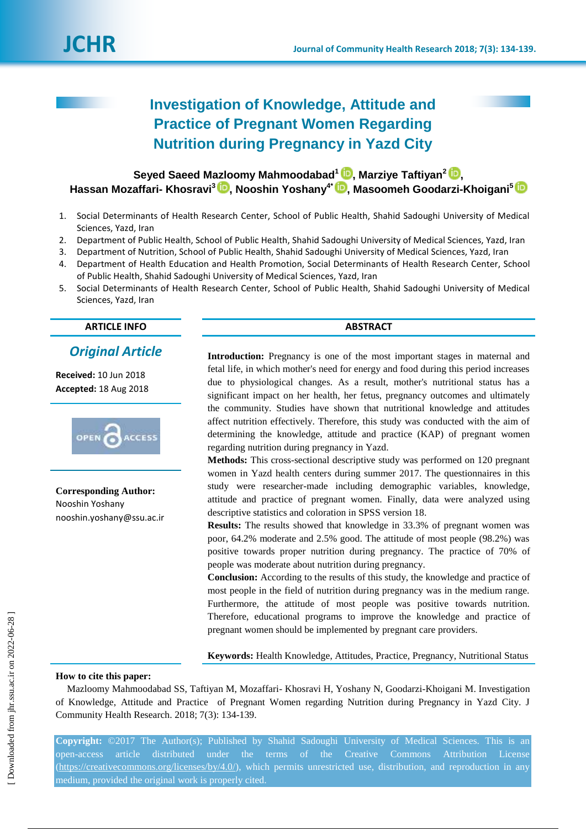

# **Investigation of Knowledge, Attitude and Practice of Pregnant Women Regarding Nutrition during Pregnancy in Yazd City**

**Seyed Saeed Mazloomy Mahmoodabad<sup>1</sup> [,](https://orcid.org/0000-0002-3301-3305) Marziye Taftiyan<sup>2</sup> [,](https://orcid.org/0000-0002-9588-7630) Hassan Mozaffari- Khosravi<sup>3</sup> , Nooshin Yoshany4\* [,](http://orcid.org/0000-0003-2955-400X) Masoomeh Goodarzi-Khoigani<sup>5</sup>**

- 1. Social Determinants of Health Research Center, School of Public Health, Shahid Sadoughi University of Medical Sciences, Yazd, Iran
- 2. Department of Public Health, School of Public Health, Shahid Sadoughi University of Medical Sciences, Yazd, Iran
- 3. Department of Nutrition, School of Public Health, Shahid Sadoughi University of Medical Sciences, Yazd, Iran
- 4. Department of Health Education and Health Promotion, Social Determinants of Health Research Center, School of Public Health, Shahid Sadoughi University of Medical Sciences, Yazd, Iran
- 5. Social Determinants of Health Research Center, School of Public Health, Shahid Sadoughi University of Medical Sciences, Yazd, Iran

**ARTICLE INFO ABSTRACT**

## *Original Article*

**Received:** 10 Jun 2018 **Accepted:** 18 Aug 2018



**Corresponding Author:** Nooshin Yoshany nooshin.yoshany@ssu.ac.ir

**Introduction:** Pregnancy is one of the most important stages in maternal and fetal life, in which mother's need for energy and food during this period increases due to physiological changes. As a result, mother's nutritional status has a significant impact on her health, her fetus, pregnancy outcomes and ultimately the community. Studies have shown that nutritional knowledge and attitudes affect nutrition effectively. Therefore, this study was conducted with the aim of determining the knowledge, attitude and practice (KAP) of pregnant women regarding nutrition during pregnancy in Yazd.

**Methods:** This cross-sectional descriptive study was performed on 120 pregnant women in Yazd health centers during summer 2017. The questionnaires in this study were researcher-made including demographic variables, knowledge, attitude and practice of pregnant women. Finally, data were analyzed using descriptive statistics and coloration in SPSS version 18.

**Results:** The results showed that knowledge in 33.3% of pregnant women was poor, 64.2% moderate and 2.5% good. The attitude of most people (98.2%) was positive towards proper nutrition during pregnancy. The practice of 70% of people was moderate about nutrition during pregnancy.

**Conclusion:** According to the results of this study, the knowledge and practice of most people in the field of nutrition during pregnancy was in the medium range. Furthermore, the attitude of most people was positive towards nutrition. Therefore, educational programs to improve the knowledge and practice of pregnant women should be implemented by pregnant care providers.

**Keywords:** Health Knowledge, Attitudes, Practice, Pregnancy, Nutritional Status

#### **How to cite this paper:**

Mazloomy Mahmoodabad SS, Taftiyan M, Mozaffari- Khosravi H, Yoshany N, Goodarzi-Khoigani M. Investigation of Knowledge, Attitude and Practice of Pregnant Women regarding Nutrition during Pregnancy in Yazd City. J Community Health Research. 2018; 7(3): 134-139.

**Copyright:** ©2017 The Author(s); Published by Shahid Sadoughi University of Medical Sciences. This is an open-access article distributed under the terms of the Creative Commons Attribution License [\(https://creativecommons.org/licenses/by/4.0/\)](https://creativecommons.org/licenses/by/4.0/), which permits unrestricted use, distribution, and reproduction in any medium, provided the original work is properly cited.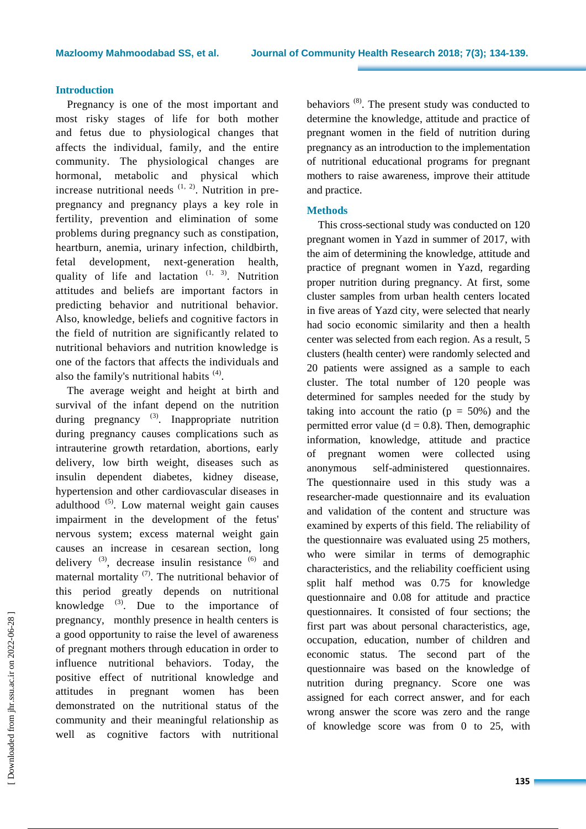#### **Introduction**

Pregnancy is one of the most important and most risky stages of life for both mother and fetus due to physiological changes that affects the individual, family, and the entire community. The physiological changes are hormonal, metabolic and physical which increase nutritional needs  $(1, 2)$ . Nutrition in prepregnancy and pregnancy plays a key role in fertility, prevention and elimination of some problems during pregnancy such as constipation, heartburn, anemia, urinary infection, childbirth, fetal development, next-generation health, quality of life and lactation  $(1, 3)$ . Nutrition attitudes and beliefs are important factors in predicting behavior and nutritional behavior. Also, knowledge, beliefs and cognitive factors in the field of nutrition are significantly related to nutritional behaviors and nutrition knowledge is one of the factors that affects the individuals and also the family's nutritional habits  $(4)$ .

The average weight and height at birth and survival of the infant depend on the nutrition during pregnancy <sup>(3)</sup>. Inappropriate nutrition during pregnancy causes complications such as intrauterine growth retardation, abortions, early delivery, low birth weight, diseases such as insulin dependent diabetes, kidney disease, hypertension and other cardiovascular diseases in adulthood<sup>(5)</sup>. Low maternal weight gain causes impairment in the development of the fetus' nervous system; excess maternal weight gain causes an increase in cesarean section, long delivery  $^{(3)}$ , decrease insulin resistance  $^{(6)}$  and maternal mortality  $(7)$ . The nutritional behavior of this period greatly depends on nutritional knowledge  $(3)$ . Due to the importance of pregnancy, monthly presence in health centers is a good opportunity to raise the level of awareness of pregnant mothers through education in order to influence nutritional behaviors. Today, the positive effect of nutritional knowledge and attitudes in pregnant women has been demonstrated on the nutritional status of the community and their meaningful relationship as well as cognitive factors with nutritional

behaviors<sup>(8)</sup>. The present study was conducted to determine the knowledge, attitude and practice of pregnant women in the field of nutrition during pregnancy as an introduction to the implementation of nutritional educational programs for pregnant mothers to raise awareness, improve their attitude and practice.

### **Methods**

This cross-sectional study was conducted on 120 pregnant women in Yazd in summer of 2017, with the aim of determining the knowledge, attitude and practice of pregnant women in Yazd, regarding proper nutrition during pregnancy. At first, some cluster samples from urban health centers located in five areas of Yazd city, were selected that nearly had socio economic similarity and then a health center was selected from each region. As a result, 5 clusters (health center) were randomly selected and 20 patients were assigned as a sample to each cluster. The total number of 120 people was determined for samples needed for the study by taking into account the ratio  $(p = 50\%)$  and the permitted error value ( $d = 0.8$ ). Then, demographic information, knowledge, attitude and practice of pregnant women were collected using anonymous self-administered questionnaires. The questionnaire used in this study was a researcher-made questionnaire and its evaluation and validation of the content and structure was examined by experts of this field. The reliability of the questionnaire was evaluated using 25 mothers, who were similar in terms of demographic characteristics, and the reliability coefficient using split half method was 0.75 for knowledge questionnaire and 0.08 for attitude and practice questionnaires. It consisted of four sections; the first part was about personal characteristics, age, occupation, education, number of children and economic status. The second part of the questionnaire was based on the knowledge of nutrition during pregnancy. Score one was assigned for each correct answer, and for each wrong answer the score was zero and the range of knowledge score was from 0 to 25, with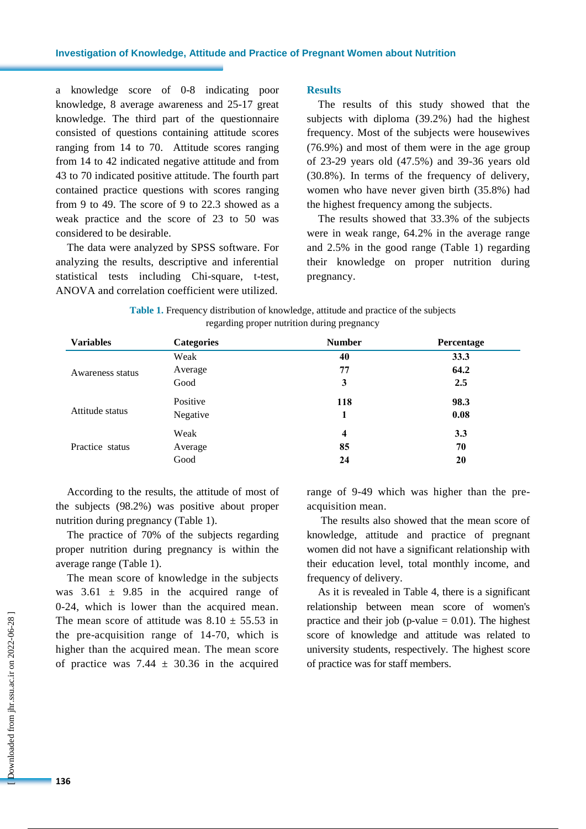a knowledge score of 0-8 indicating poor knowledge, 8 average awareness and 25-17 great knowledge. The third part of the questionnaire consisted of questions containing attitude scores ranging from 14 to 70. Attitude scores ranging from 14 to 42 indicated negative attitude and from 43 to 70 indicated positive attitude. The fourth part contained practice questions with scores ranging from 9 to 49. The score of 9 to 22.3 showed as a weak practice and the score of 23 to 50 was considered to be desirable.

The data were analyzed by SPSS software. For analyzing the results, descriptive and inferential statistical tests including Chi-square, t-test, ANOVA and correlation coefficient were utilized.

#### **Results**

The results of this study showed that the subjects with diploma (39.2%) had the highest frequency. Most of the subjects were housewives (76.9%) and most of them were in the age group of 23-29 years old (47.5%) and 39-36 years old (30.8%). In terms of the frequency of delivery, women who have never given birth (35.8%) had the highest frequency among the subjects.

The results showed that 33.3% of the subjects were in weak range, 64.2% in the average range and 2.5% in the good range (Table 1) regarding their knowledge on proper nutrition during pregnancy.

| <b>Table 1.</b> Frequency distribution of knowledge, attitude and practice of the subjects |
|--------------------------------------------------------------------------------------------|
| regarding proper nutrition during pregnancy                                                |

| <b>Variables</b> | <b>Categories</b> | <b>Number</b>           | Percentage |
|------------------|-------------------|-------------------------|------------|
| Awareness status | Weak              | 40                      | 33.3       |
|                  | Average           | 77                      | 64.2       |
|                  | Good              | 3                       | 2.5        |
| Attitude status  | Positive          | 118                     | 98.3       |
|                  | Negative          |                         | 0.08       |
| Practice status  | Weak              | $\overline{\mathbf{4}}$ | 3.3        |
|                  | Average           | 85                      | 70         |
|                  | Good              | 24                      | 20         |

According to the results, the attitude of most of the subjects (98.2%) was positive about proper nutrition during pregnancy (Table 1).

The practice of 70% of the subjects regarding proper nutrition during pregnancy is within the average range (Table 1).

The mean score of knowledge in the subjects was  $3.61 \pm 9.85$  in the acquired range of 0-24, which is lower than the acquired mean. The mean score of attitude was  $8.10 \pm 55.53$  in the pre-acquisition range of 14-70, which is higher than the acquired mean. The mean score of practice was 7.44  $\pm$  30.36 in the acquired range of 9-49 which was higher than the preacquisition mean.

The results also showed that the mean score of knowledge, attitude and practice of pregnant women did not have a significant relationship with their education level, total monthly income, and frequency of delivery.

As it is revealed in Table 4, there is a significant relationship between mean score of women's practice and their job (p-value  $= 0.01$ ). The highest score of knowledge and attitude was related to university students, respectively. The highest score of practice was for staff members.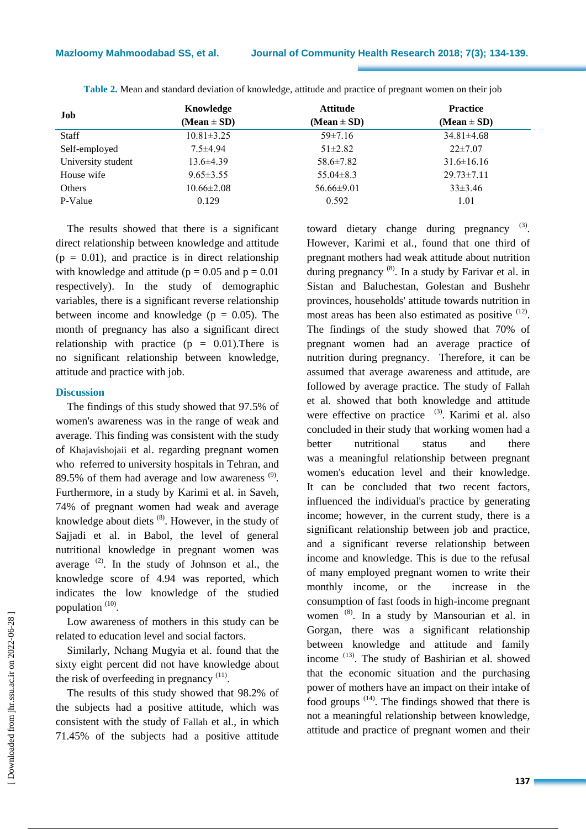| Job                | Knowledge        | <b>Attitude</b>  | <b>Practice</b>  |
|--------------------|------------------|------------------|------------------|
|                    | $(Mean \pm SD)$  | $(Mean \pm SD)$  | $(Mean \pm SD)$  |
| <b>Staff</b>       | $10.81 \pm 3.25$ | $59\pm7.16$      | $34.81 \pm 4.68$ |
| Self-employed      | $7.5 \pm 4.94$   | $51\pm2.82$      | $22\pm7.07$      |
| University student | $13.6\pm4.39$    | $58.6 \pm 7.82$  | $31.6 \pm 16.16$ |
| House wife         | $9.65 \pm 3.55$  | $55.04 \pm 8.3$  | $29.73 \pm 7.11$ |
| Others             | $10.66 \pm 2.08$ | $56.66 \pm 9.01$ | $33\pm3.46$      |
| P-Value            | 0.129            | 0.592            | 1.01             |

**Table 2.** Mean and standard deviation of knowledge, attitude and practice of pregnant women on their job

The results showed that there is a significant direct relationship between knowledge and attitude  $(p = 0.01)$ , and practice is in direct relationship with knowledge and attitude ( $p = 0.05$  and  $p = 0.01$ respectively). In the study of demographic variables, there is a significant reverse relationship between income and knowledge ( $p = 0.05$ ). The month of pregnancy has also a significant direct relationship with practice ( $p = 0.01$ ). There is no significant relationship between knowledge, attitude and practice with job.

#### **Discussion**

The findings of this study showed that 97.5% of women's awareness was in the range of weak and average. This finding was consistent with the study of Khajavishojaii et al. regarding pregnant women who referred to university hospitals in Tehran, and 89.5% of them had average and low awareness  $(9)$ . Furthermore, in a study by Karimi et al. in Saveh, 74% of pregnant women had weak and average knowledge about diets <sup>(8)</sup>. However, in the study of Sajjadi et al. in Babol, the level of general nutritional knowledge in pregnant women was average  $(2)$ . In the study of Johnson et al., the knowledge score of 4.94 was reported, which indicates the low knowledge of the studied population  $(10)$ .

Low awareness of mothers in this study can be related to education level and social factors.

Similarly, Nchang Mugyia et al. found that the sixty eight percent did not have knowledge about the risk of overfeeding in pregnancy  $(11)$ .

The results of this study showed that 98.2% of the subjects had a positive attitude, which was consistent with the study of Fallah et al., in which 71.45% of the subjects had a positive attitude toward dietary change during pregnancy . However, Karimi et al., found that one third of pregnant mothers had weak attitude about nutrition during pregnancy<sup>(8)</sup>. In a study by Farivar et al. in Sistan and Baluchestan, Golestan and Bushehr provinces, households' attitude towards nutrition in most areas has been also estimated as positive <sup>(12)</sup>. The findings of the study showed that 70% of pregnant women had an average practice of nutrition during pregnancy. Therefore, it can be assumed that average awareness and attitude, are followed by average practice. The study of Fallah et al. showed that both knowledge and attitude were effective on practice <sup>(3)</sup>. Karimi et al. also concluded in their study that working women had a better nutritional status and there was a meaningful relationship between pregnant women's education level and their knowledge. It can be concluded that two recent factors, influenced the individual's practice by generating income; however, in the current study, there is a significant relationship between job and practice, and a significant reverse relationship between income and knowledge. This is due to the refusal of many employed pregnant women to write their monthly income, or the increase in the consumption of fast foods in high-income pregnant women <sup>(8)</sup>. In a study by Mansourian et al. in Gorgan, there was a significant relationship between knowledge and attitude and family income <sup>(13)</sup>. The study of Bashirian et al. showed that the economic situation and the purchasing power of mothers have an impact on their intake of food groups  $(14)$ . The findings showed that there is not a meaningful relationship between knowledge, attitude and practice of pregnant women and their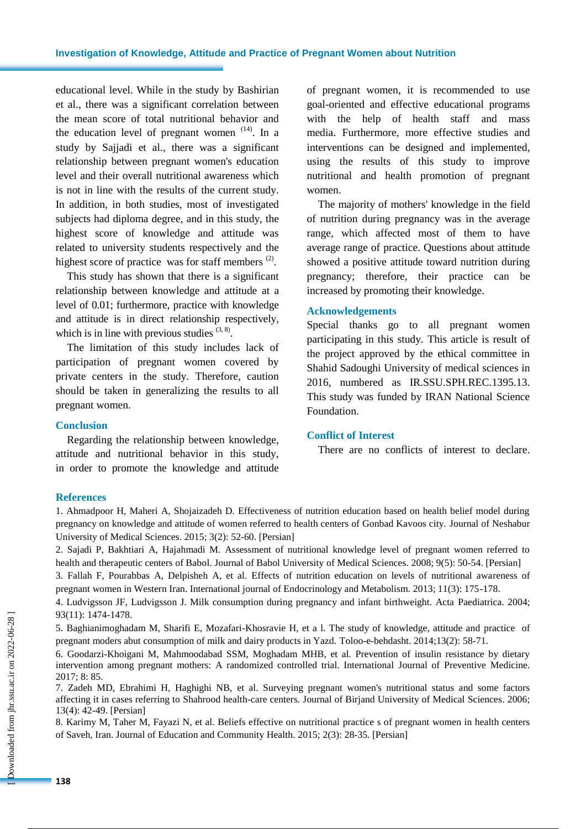educational level. While in the study by Bashirian et al., there was a significant correlation between the mean score of total nutritional behavior and the education level of pregnant women  $(14)$ . In a study by Sajjadi et al., there was a significant relationship between pregnant women's education level and their overall nutritional awareness which is not in line with the results of the current study. In addition, in both studies, most of investigated subjects had diploma degree, and in this study, the highest score of knowledge and attitude was related to university students respectively and the highest score of practice was for staff members<sup>(2)</sup>.

This study has shown that there is a significant relationship between knowledge and attitude at a level of 0.01; furthermore, practice with knowledge and attitude is in direct relationship respectively, which is in line with previous studies  $(3, 8)$ .

The limitation of this study includes lack of participation of pregnant women covered by private centers in the study. Therefore, caution should be taken in generalizing the results to all pregnant women.

#### **Conclusion**

Regarding the relationship between knowledge, attitude and nutritional behavior in this study, in order to promote the knowledge and attitude of pregnant women, it is recommended to use goal-oriented and effective educational programs with the help of health staff and mass media. Furthermore, more effective studies and interventions can be designed and implemented, using the results of this study to improve nutritional and health promotion of pregnant women.

The majority of mothers' knowledge in the field of nutrition during pregnancy was in the average range, which affected most of them to have average range of practice. Questions about attitude showed a positive attitude toward nutrition during pregnancy; therefore, their practice can be increased by promoting their knowledge.

#### **Acknowledgements**

Special thanks go to all pregnant women participating in this study. This article is result of the project approved by the ethical committee in Shahid Sadoughi University of medical sciences in 2016, numbered as IR.SSU.SPH.REC.1395.13. This study was funded by IRAN National Science Foundation.

### **Conflict of Interest**

There are no conflicts of interest to declare.

#### **References**

1. Ahmadpoor H, Maheri A, Shojaizadeh D. Effectiveness of nutrition education based on health belief model during pregnancy on knowledge and attitude of women referred to health centers of Gonbad Kavoos city. Journal of Neshabur University of Medical Sciences. 2015; 3(2): 52-60. [Persian]

2. Sajadi P, Bakhtiari A, [Hajahmadi M.](http://www.sid.ir/En/Journal/SearchPaper.aspx?writer=148917) Assessment of nutritional knowledge level of pregnant women referred to health and therapeutic centers of Babol. [Journal of Babol University of Medical Sciences.](http://www.sid.ir/En/Journal/JournalList.aspx?ID=3710) 2008; 9(5): 50-54. [Persian]

3. Fallah F, Pourabbas A, Delpisheh A, et al. Effects of nutrition education on levels of nutritional awareness of pregnant women in Western Iran. International journal of Endocrinology and Metabolism. 2013; 11(3): 175-178.

4. Ludvigsson JF, Ludvigsson J. Milk consumption during pregnancy and infant birthweight. Acta Paediatrica. 2004; 93(11): 1474-1478.

5. Baghianimoghadam M, Sharifi E, Mozafari-Khosravie H, et a l. The study of knowledge, attitude and practice of pregnant moders abut consumption of milk and dairy products in Yazd. Toloo-e-behdasht. 2014;13(2): 58-71.

6. Goodarzi-Khoigani M, Mahmoodabad SSM, Moghadam MHB, et al. Prevention of insulin resistance by dietary intervention among pregnant mothers: A randomized controlled trial. International Journal of Preventive Medicine.  $2017 \cdot 8 \cdot 85$ 

7. Zadeh MD, Ebrahimi H, Haghighi NB, et al. Surveying pregnant women's nutritional status and some factors affecting it in cases referring to Shahrood health-care centers. Journal of Birjand University of Medical Sciences. 2006; 13(4): 42-49. [Persian]

8. Karimy M, Taher M, Fayazi N, et al. Beliefs effective on nutritional practice s of pregnant women in health centers of Saveh, Iran. Journal of Education and Community Health. 2015; 2(3): 28-35. [Persian]